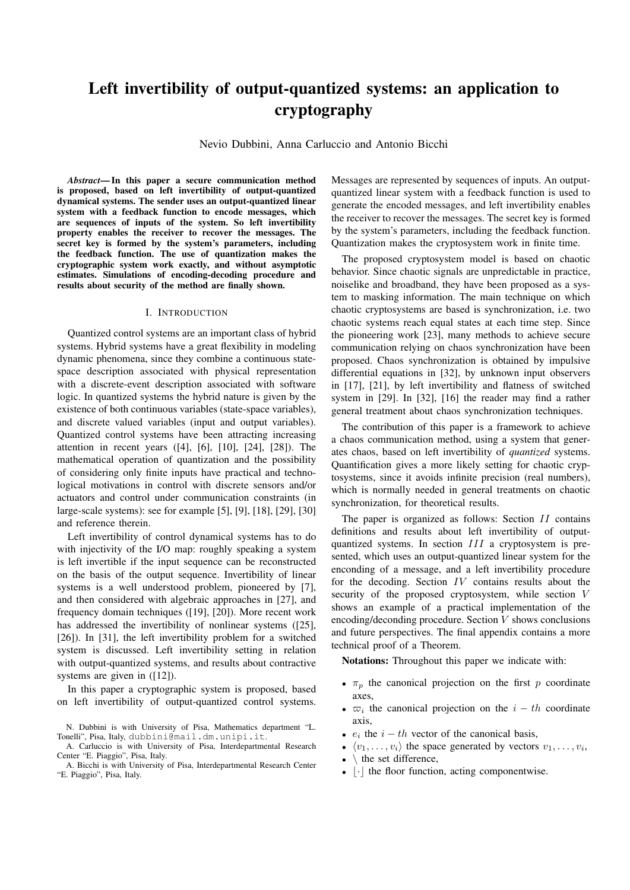# Left invertibility of output-quantized systems: an application to cryptography

Nevio Dubbini, Anna Carluccio and Antonio Bicchi

*Abstract*— In this paper a secure communication method is proposed, based on left invertibility of output-quantized dynamical systems. The sender uses an output-quantized linear system with a feedback function to encode messages, which are sequences of inputs of the system. So left invertibility property enables the receiver to recover the messages. The secret key is formed by the system's parameters, including the feedback function. The use of quantization makes the cryptographic system work exactly, and without asymptotic estimates. Simulations of encoding-decoding procedure and results about security of the method are finally shown.

#### I. INTRODUCTION

Quantized control systems are an important class of hybrid systems. Hybrid systems have a great flexibility in modeling dynamic phenomena, since they combine a continuous statespace description associated with physical representation with a discrete-event description associated with software logic. In quantized systems the hybrid nature is given by the existence of both continuous variables (state-space variables), and discrete valued variables (input and output variables). Quantized control systems have been attracting increasing attention in recent years ([4], [6], [10], [24], [28]). The mathematical operation of quantization and the possibility of considering only finite inputs have practical and technological motivations in control with discrete sensors and/or actuators and control under communication constraints (in large-scale systems): see for example [5], [9], [18], [29], [30] and reference therein.

Left invertibility of control dynamical systems has to do with injectivity of the I/O map: roughly speaking a system is left invertible if the input sequence can be reconstructed on the basis of the output sequence. Invertibility of linear systems is a well understood problem, pioneered by [7], and then considered with algebraic approaches in [27], and frequency domain techniques ([19], [20]). More recent work has addressed the invertibility of nonlinear systems ([25], [26]). In [31], the left invertibility problem for a switched system is discussed. Left invertibility setting in relation with output-quantized systems, and results about contractive systems are given in ([12]).

In this paper a cryptographic system is proposed, based on left invertibility of output-quantized control systems. Messages are represented by sequences of inputs. An outputquantized linear system with a feedback function is used to generate the encoded messages, and left invertibility enables the receiver to recover the messages. The secret key is formed by the system's parameters, including the feedback function. Quantization makes the cryptosystem work in finite time.

The proposed cryptosystem model is based on chaotic behavior. Since chaotic signals are unpredictable in practice, noiselike and broadband, they have been proposed as a system to masking information. The main technique on which chaotic cryptosystems are based is synchronization, i.e. two chaotic systems reach equal states at each time step. Since the pioneering work [23], many methods to achieve secure communication relying on chaos synchronization have been proposed. Chaos synchronization is obtained by impulsive differential equations in [32], by unknown input observers in [17], [21], by left invertibility and flatness of switched system in [29]. In [32], [16] the reader may find a rather general treatment about chaos synchronization techniques.

The contribution of this paper is a framework to achieve a chaos communication method, using a system that generates chaos, based on left invertibility of *quantized* systems. Quantification gives a more likely setting for chaotic cryptosystems, since it avoids infinite precision (real numbers), which is normally needed in general treatments on chaotic synchronization, for theoretical results.

The paper is organized as follows: Section II contains definitions and results about left invertibility of outputquantized systems. In section III a cryptosystem is presented, which uses an output-quantized linear system for the enconding of a message, and a left invertibility procedure for the decoding. Section IV contains results about the security of the proposed cryptosystem, while section V shows an example of a practical implementation of the encoding/deconding procedure. Section  $V$  shows conclusions and future perspectives. The final appendix contains a more technical proof of a Theorem.

Notations: Throughout this paper we indicate with:

- $\pi_p$  the canonical projection on the first p coordinate axes,
- $\overline{\omega}_i$  the canonical projection on the  $i th$  coordinate axis,
- $e_i$  the  $i th$  vector of the canonical basis,
- $\langle v_1, \ldots, v_i \rangle$  the space generated by vectors  $v_1, \ldots, v_i$ ,
- $\bullet \, \setminus$  the set difference,
- $|\cdot|$  the floor function, acting componentwise.

N. Dubbini is with University of Pisa, Mathematics department "L. Tonelli", Pisa, Italy, dubbini@mail.dm.unipi.it.

A. Carluccio is with University of Pisa, Interdepartmental Research Center "E. Piaggio", Pisa, Italy.

A. Bicchi is with University of Pisa, Interdepartmental Research Center "E. Piaggio", Pisa, Italy.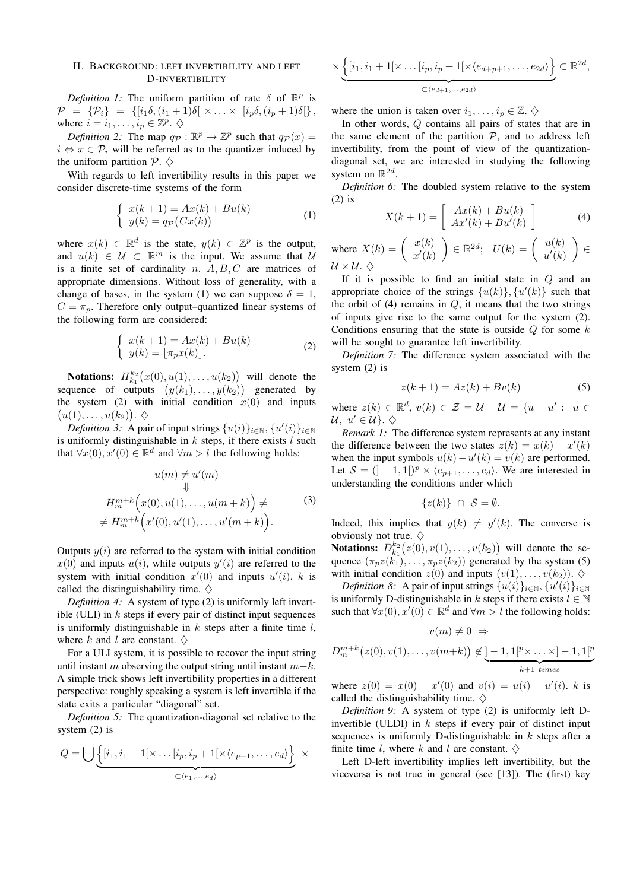### II. BACKGROUND: LEFT INVERTIBILITY AND LEFT D-INVERTIBILITY

*Definition 1:* The uniform partition of rate  $\delta$  of  $\mathbb{R}^p$  is  $\mathcal{P} = \{ \mathcal{P}_i \} = \{ [i_1 \delta, (i_1 + 1) \delta] \times \ldots \times [i_p \delta, (i_p + 1) \delta] \},$ where  $i = i_1, \ldots, i_p \in \mathbb{Z}^p$ .  $\diamondsuit$ 

*Definition 2:* The map  $q_p : \mathbb{R}^p \to \mathbb{Z}^p$  such that  $q_p(x) =$  $i \Leftrightarrow x \in \mathcal{P}_i$  will be referred as to the quantizer induced by the uniform partition  $P \sim \Diamond$ 

With regards to left invertibility results in this paper we consider discrete-time systems of the form

$$
\begin{cases}\nx(k+1) = Ax(k) + Bu(k) \\
y(k) = q_{\mathcal{P}}(Cx(k))\n\end{cases} (1)
$$

where  $x(k) \in \mathbb{R}^d$  is the state,  $y(k) \in \mathbb{Z}^p$  is the output, and  $u(k) \in U \subset \mathbb{R}^m$  is the input. We assume that U is a finite set of cardinality n.  $A, B, C$  are matrices of appropriate dimensions. Without loss of generality, with a change of bases, in the system (1) we can suppose  $\delta = 1$ ,  $C = \pi_p$ . Therefore only output–quantized linear systems of the following form are considered:

$$
\begin{cases}\nx(k+1) = Ax(k) + Bu(k) \\
y(k) = \lfloor \pi_p x(k) \rfloor.\n\end{cases} \tag{2}
$$

**Notations:**  $H_{k_1}^{k_2}(x(0), u(1), \ldots, u(k_2))$  will denote the sequence of outputs  $(y(k_1), \ldots, y(k_2))$  generated by the system (2) with initial condition  $x(0)$  and inputs  $(u(1),\ldots,u(k_2))\ldotp\Diamond$ 

*Definition 3:* A pair of input strings  $\{u(i)\}_{i \in \mathbb{N}}$ ,  $\{u'(i)\}_{i \in \mathbb{N}}$ is uniformly distinguishable in  $k$  steps, if there exists  $l$  such that  $\forall x(0), x'(0) \in \mathbb{R}^d$  and  $\forall m > l$  the following holds:

$$
u(m) \neq u'(m)
$$
  
\n
$$
\Downarrow
$$
  
\n
$$
H_m^{m+k}(x(0), u(1), \dots, u(m+k)) \neq
$$
  
\n
$$
\neq H_m^{m+k}(x'(0), u'(1), \dots, u'(m+k)).
$$
\n(3)

Outputs  $y(i)$  are referred to the system with initial condition  $x(0)$  and inputs  $u(i)$ , while outputs  $y'(i)$  are referred to the system with initial condition  $x'(0)$  and inputs  $u'(i)$ . k is called the distinguishability time.  $\diamondsuit$ 

*Definition 4:* A system of type (2) is uniformly left invertible (ULI) in  $k$  steps if every pair of distinct input sequences is uniformly distinguishable in  $k$  steps after a finite time  $l$ , where k and l are constant.  $\diamondsuit$ 

For a ULI system, it is possible to recover the input string until instant m observing the output string until instant  $m+k$ . A simple trick shows left invertibility properties in a different perspective: roughly speaking a system is left invertible if the state exits a particular "diagonal" set.

*Definition 5:* The quantization-diagonal set relative to the system (2) is

$$
Q = \bigcup \underbrace{\left\{ [i_1, i_1 + 1[ \times \dots [i_p, i_p + 1[ \times \langle e_{p+1}, \dots, e_d \rangle \right]}_{\subset \langle e_1, \dots, e_d \rangle} \times \right\}}_{\subseteq \langle e_1, \dots, e_d \rangle}
$$

$$
\times \underbrace{\left\{ [i_1, i_1 + 1[ \times \dots [i_p, i_p + 1[ \times \langle e_{d+p+1}, \dots, e_{2d} \rangle \right\}}_{\subset \langle e_{d+1}, \dots, e_{2d} \rangle} \subset \mathbb{R}^{2d},
$$

where the union is taken over  $i_1, \ldots, i_p \in \mathbb{Z}$ .  $\diamondsuit$ 

In other words, Q contains all pairs of states that are in the same element of the partition  $P$ , and to address left invertibility, from the point of view of the quantizationdiagonal set, we are interested in studying the following system on  $\mathbb{R}^{2d}$ .

*Definition 6:* The doubled system relative to the system (2) is

$$
X(k+1) = \left[ \begin{array}{c} Ax(k) + Bu(k) \\ Ax'(k) + Bu'(k) \end{array} \right]
$$
 (4)

where  $X(k) = \begin{pmatrix} x(k) \\ -x(k) \end{pmatrix}$  $x'(k)$  $\Big\}\in\mathbb{R}^{2d};\ \ U(k)=\left(\begin{array}{c} u(k)\ u(k)\end{array}\right)$  $u'(k)$  ∈  $U \times U.$ 

If it is possible to find an initial state in  $Q$  and an appropriate choice of the strings  $\{u(k)\}, \{u'(k)\}\$  such that the orbit of  $(4)$  remains in  $Q$ , it means that the two strings of inputs give rise to the same output for the system (2). Conditions ensuring that the state is outside  $Q$  for some  $k$ will be sought to guarantee left invertibility.

*Definition 7:* The difference system associated with the system (2) is

$$
z(k+1) = Az(k) + Bv(k)
$$
 (5)

where  $z(k) \in \mathbb{R}^d$ ,  $v(k) \in \mathcal{Z} = \mathcal{U} - \mathcal{U} = \{u - u' : u \in$  $\mathcal{U}, u' \in \mathcal{U}\}\mathcal{U}$ .  $\diamondsuit$ 

*Remark 1:* The difference system represents at any instant the difference between the two states  $z(k) = x(k) - x'(k)$ when the input symbols  $u(k) - u'(k) = v(k)$  are performed. Let  $S = (]-1, 1[$  $)^p \times \langle e_{p+1}, \ldots, e_d \rangle$ . We are interested in understanding the conditions under which

$$
\{z(k)\}\ \cap\ \mathcal{S}=\emptyset.
$$

Indeed, this implies that  $y(k) \neq y'(k)$ . The converse is obviously not true.  $\diamondsuit$ 

**Notations:**  $D_{k_1}^{k_2}(z(0), v(1), \ldots, v(k_2))$  will denote the sequence  $(\pi_p z(k_1), \ldots, \pi_p z(k_2))$  generated by the system (5) with initial condition  $z(0)$  and inputs  $(v(1), \ldots, v(k_2))$ .  $\diamondsuit$ 

*Definition 8:* A pair of input strings  $\{u(i)\}_{i \in \mathbb{N}}$ ,  $\{u'(i)\}_{i \in \mathbb{N}}$ is uniformly D-distinguishable in k steps if there exists  $l \in \mathbb{N}$ such that  $\forall x(0), x'(0) \in \mathbb{R}^d$  and  $\forall m > l$  the following holds:

$$
v(m) \neq 0 \Rightarrow
$$
  

$$
D_m^{m+k}(z(0), v(1), \dots, v(m+k)) \notin \underbrace{[-1, 1[^p \times \dots \times ]-1, 1[^p}_{k+1 \ times}]
$$

where  $z(0) = x(0) - x'(0)$  and  $v(i) = u(i) - u'(i)$ . k is called the distinguishability time.  $\diamondsuit$ 

*Definition 9:* A system of type (2) is uniformly left Dinvertible (ULDI) in  $k$  steps if every pair of distinct input sequences is uniformly D-distinguishable in  $k$  steps after a finite time l, where k and l are constant.  $\diamondsuit$ 

Left D-left invertibility implies left invertibility, but the viceversa is not true in general (see [13]). The (first) key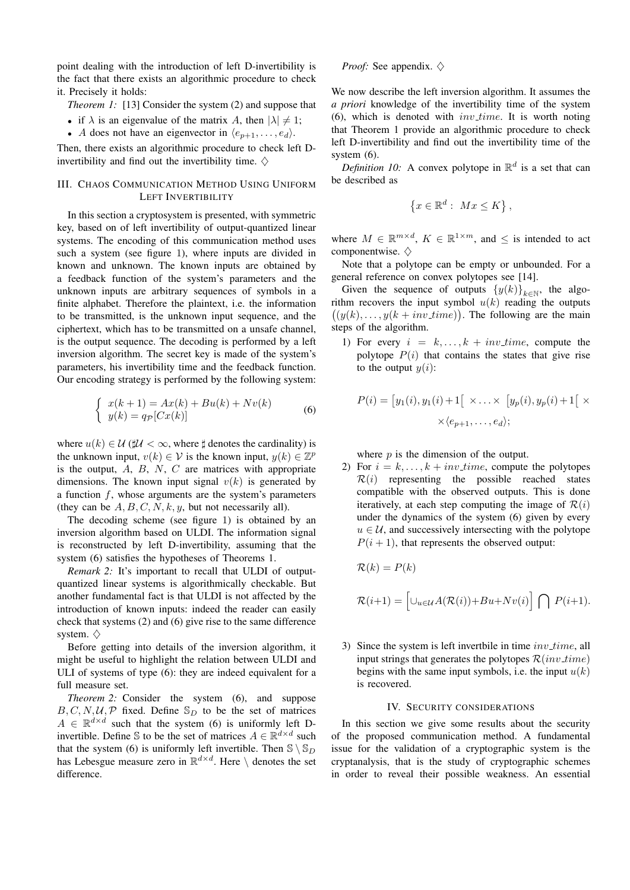point dealing with the introduction of left D-invertibility is the fact that there exists an algorithmic procedure to check it. Precisely it holds:

- *Theorem 1:* [13] Consider the system (2) and suppose that
- if  $\lambda$  is an eigenvalue of the matrix A, then  $|\lambda| \neq 1$ ;
- A does not have an eigenvector in  $\langle e_{p+1}, \ldots, e_d \rangle$ .

Then, there exists an algorithmic procedure to check left Dinvertibility and find out the invertibility time.  $\diamondsuit$ 

# III. CHAOS COMMUNICATION METHOD USING UNIFORM LEFT INVERTIBILITY

In this section a cryptosystem is presented, with symmetric key, based on of left invertibility of output-quantized linear systems. The encoding of this communication method uses such a system (see figure 1), where inputs are divided in known and unknown. The known inputs are obtained by a feedback function of the system's parameters and the unknown inputs are arbitrary sequences of symbols in a finite alphabet. Therefore the plaintext, i.e. the information to be transmitted, is the unknown input sequence, and the ciphertext, which has to be transmitted on a unsafe channel, is the output sequence. The decoding is performed by a left inversion algorithm. The secret key is made of the system's parameters, his invertibility time and the feedback function. Our encoding strategy is performed by the following system:

$$
\begin{cases}\nx(k+1) = Ax(k) + Bu(k) + Nv(k) \\
y(k) = q_P[Cx(k)]\n\end{cases}
$$
\n(6)

where  $u(k) \in \mathcal{U}$  ( $\sharp \mathcal{U} < \infty$ , where  $\sharp$  denotes the cardinality) is the unknown input,  $v(k) \in V$  is the known input,  $y(k) \in \mathbb{Z}^p$ is the output,  $A$ ,  $B$ ,  $N$ ,  $C$  are matrices with appropriate dimensions. The known input signal  $v(k)$  is generated by a function f, whose arguments are the system's parameters (they can be  $A, B, C, N, k, y$ , but not necessarily all).

The decoding scheme (see figure 1) is obtained by an inversion algorithm based on ULDI. The information signal is reconstructed by left D-invertibility, assuming that the system (6) satisfies the hypotheses of Theorems 1.

*Remark 2:* It's important to recall that ULDI of outputquantized linear systems is algorithmically checkable. But another fundamental fact is that ULDI is not affected by the introduction of known inputs: indeed the reader can easily check that systems (2) and (6) give rise to the same difference system.  $\diamondsuit$ 

Before getting into details of the inversion algorithm, it might be useful to highlight the relation between ULDI and ULI of systems of type (6): they are indeed equivalent for a full measure set.

*Theorem 2:* Consider the system (6), and suppose  $B, C, N, \mathcal{U}, \mathcal{P}$  fixed. Define  $\mathbb{S}_D$  to be the set of matrices  $A \in \mathbb{R}^{d \times d}$  such that the system (6) is uniformly left Dinvertible. Define S to be the set of matrices  $A \in \mathbb{R}^{d \times d}$  such that the system (6) is uniformly left invertible. Then  $\mathcal{S} \setminus \mathcal{S}_D$ has Lebesgue measure zero in  $\mathbb{R}^{d \times d}$ . Here \ denotes the set difference.

### *Proof:* See appendix.  $\diamondsuit$

We now describe the left inversion algorithm. It assumes the *a priori* knowledge of the invertibility time of the system (6), which is denoted with  $inv_time$ . It is worth noting that Theorem 1 provide an algorithmic procedure to check left D-invertibility and find out the invertibility time of the system (6).

*Definition 10:* A convex polytope in  $\mathbb{R}^d$  is a set that can be described as

$$
\{x \in \mathbb{R}^d : \ Mx \le K\},\
$$

where  $M \in \mathbb{R}^{m \times d}$ ,  $K \in \mathbb{R}^{1 \times m}$ , and  $\leq$  is intended to act componentwise.  $\diamondsuit$ 

Note that a polytope can be empty or unbounded. For a general reference on convex polytopes see [14].

Given the sequence of outputs  $\{y(k)\}_{k\in\mathbb{N}}$ , the algorithm recovers the input symbol  $u(k)$  reading the outputs  $((y(k), \ldots, y(k + inv_time)).$  The following are the main steps of the algorithm.

1) For every  $i = k, \ldots, k + inv_time$ , compute the polytope  $P(i)$  that contains the states that give rise to the output  $y(i)$ :

$$
P(i) = [y_1(i), y_1(i) + 1 \left[ \times \ldots \times [y_p(i), y_p(i) + 1 \right] \times \times \langle e_{p+1}, \ldots, e_d \rangle;
$$

where  $p$  is the dimension of the output.

2) For  $i = k, \ldots, k + inv_time$ , compute the polytopes  $\mathcal{R}(i)$  representing the possible reached states compatible with the observed outputs. This is done iteratively, at each step computing the image of  $\mathcal{R}(i)$ under the dynamics of the system (6) given by every  $u \in U$ , and successively intersecting with the polytope  $P(i + 1)$ , that represents the observed output:

$$
\mathcal{R}(k) = P(k)
$$

$$
\mathcal{R}(i+1) = \left[\cup_{u \in \mathcal{U}} A(\mathcal{R}(i)) + Bu + Nv(i)\right] \bigcap P(i+1).
$$

3) Since the system is left invertbile in time  $inv_time$ , all input strings that generates the polytopes  $\mathcal{R}(inv\_time)$ begins with the same input symbols, i.e. the input  $u(k)$ is recovered.

### IV. SECURITY CONSIDERATIONS

In this section we give some results about the security of the proposed communication method. A fundamental issue for the validation of a cryptographic system is the cryptanalysis, that is the study of cryptographic schemes in order to reveal their possible weakness. An essential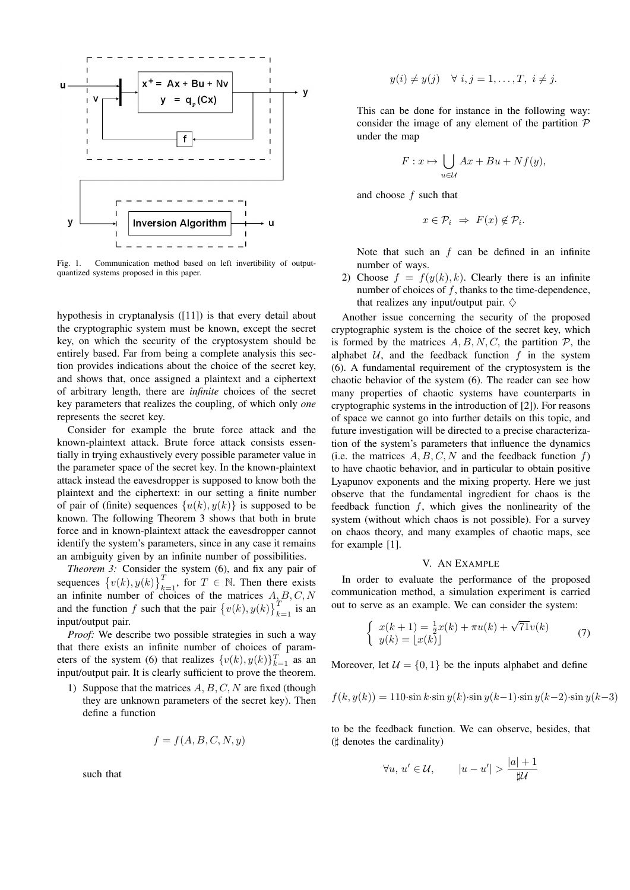

Fig. 1. Communication method based on left invertibility of outputquantized systems proposed in this paper.

hypothesis in cryptanalysis ([11]) is that every detail about the cryptographic system must be known, except the secret key, on which the security of the cryptosystem should be entirely based. Far from being a complete analysis this section provides indications about the choice of the secret key, and shows that, once assigned a plaintext and a ciphertext of arbitrary length, there are *infinite* choices of the secret key parameters that realizes the coupling, of which only *one* represents the secret key.

Consider for example the brute force attack and the known-plaintext attack. Brute force attack consists essentially in trying exhaustively every possible parameter value in the parameter space of the secret key. In the known-plaintext attack instead the eavesdropper is supposed to know both the plaintext and the ciphertext: in our setting a finite number of pair of (finite) sequences  $\{u(k), y(k)\}\$ is supposed to be known. The following Theorem 3 shows that both in brute force and in known-plaintext attack the eavesdropper cannot identify the system's parameters, since in any case it remains an ambiguity given by an infinite number of possibilities.

*Theorem 3:* Consider the system (6), and fix any pair of sequences  $\{v(k), y(k)\}_{k=1}^T$ , for  $T \in \mathbb{N}$ . Then there exists an infinite number of choices of the matrices  $A<sub>x</sub>B, C, N$ and the function f such that the pair  $\{v(k), y(k)\}_{k=1}^T$  is an input/output pair.

*Proof:* We describe two possible strategies in such a way that there exists an infinite number of choices of parameters of the system (6) that realizes  $\{v(k), y(k)\}_{k=1}^T$  as an input/output pair. It is clearly sufficient to prove the theorem.

1) Suppose that the matrices  $A, B, C, N$  are fixed (though they are unknown parameters of the secret key). Then define a function

$$
f = f(A, B, C, N, y)
$$

such that

$$
y(i) \neq y(j) \quad \forall \ i, j = 1, \dots, T, \ i \neq j.
$$

This can be done for instance in the following way: consider the image of any element of the partition  $P$ under the map

$$
F: x \mapsto \bigcup_{u \in \mathcal{U}} Ax + Bu + Nf(y),
$$

and choose f such that

$$
x \in \mathcal{P}_i \Rightarrow F(x) \notin \mathcal{P}_i.
$$

Note that such an  $f$  can be defined in an infinite number of ways.

2) Choose  $f = f(y(k), k)$ . Clearly there is an infinite number of choices of  $f$ , thanks to the time-dependence, that realizes any input/output pair.  $\diamondsuit$ 

Another issue concerning the security of the proposed cryptographic system is the choice of the secret key, which is formed by the matrices  $A, B, N, C$ , the partition  $P$ , the alphabet  $U$ , and the feedback function f in the system (6). A fundamental requirement of the cryptosystem is the chaotic behavior of the system (6). The reader can see how many properties of chaotic systems have counterparts in cryptographic systems in the introduction of [2]). For reasons of space we cannot go into further details on this topic, and future investigation will be directed to a precise characterization of the system's parameters that influence the dynamics (i.e. the matrices  $A, B, C, N$  and the feedback function f) to have chaotic behavior, and in particular to obtain positive Lyapunov exponents and the mixing property. Here we just observe that the fundamental ingredient for chaos is the feedback function  $f$ , which gives the nonlinearity of the system (without which chaos is not possible). For a survey on chaos theory, and many examples of chaotic maps, see for example [1].

### V. AN EXAMPLE

In order to evaluate the performance of the proposed communication method, a simulation experiment is carried out to serve as an example. We can consider the system:

$$
\begin{cases}\nx(k+1) = \frac{1}{2}x(k) + \pi u(k) + \sqrt{71}v(k) \\
y(k) = \lfloor x(k) \rfloor\n\end{cases}
$$
\n(7)

Moreover, let  $\mathcal{U} = \{0, 1\}$  be the inputs alphabet and define

$$
f(k, y(k)) = 110 \sin k \cdot \sin y(k) \cdot \sin y(k-1) \cdot \sin y(k-2) \cdot \sin y(k-3)
$$

to be the feedback function. We can observe, besides, that  $($  $\sharp$  denotes the cardinality)

$$
\forall u, u' \in \mathcal{U}, \qquad |u - u'| > \frac{|a| + 1}{\sharp \mathcal{U}}
$$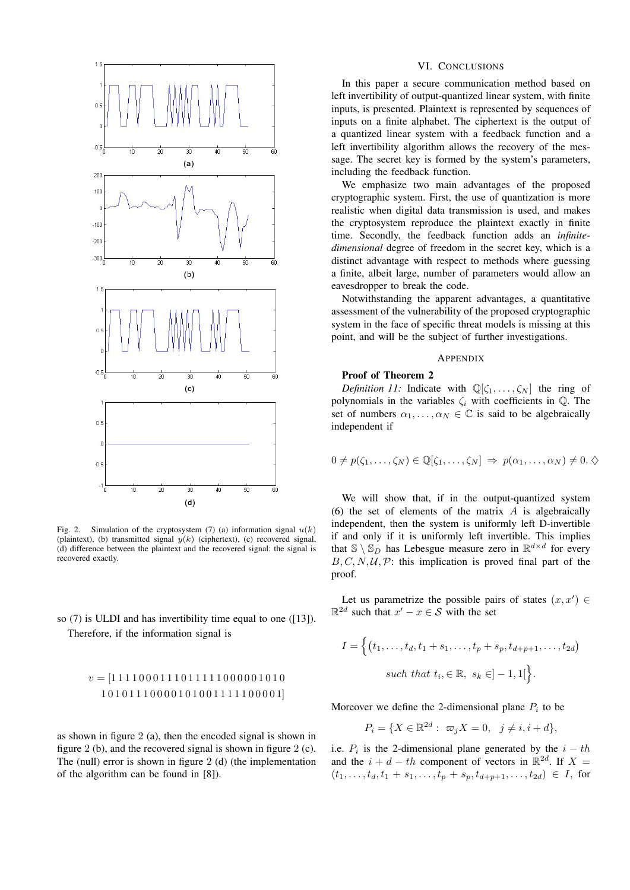

Fig. 2. Simulation of the cryptosystem (7) (a) information signal  $u(k)$ (plaintext), (b) transmitted signal  $y(k)$  (ciphertext), (c) recovered signal, (d) difference between the plaintext and the recovered signal: the signal is recovered exactly.

# so (7) is ULDI and has invertibility time equal to one ([13]). Therefore, if the information signal is

# v = [1 1 1 1 0 0 0 1 1 1 0 1 1 1 1 1 0 0 0 0 0 1 0 1 0 1 0 1 0 1 1 1 0 0 0 0 1 0 1 0 0 1 1 1 1 1 0 0 0 0 1]

as shown in figure 2 (a), then the encoded signal is shown in figure 2 (b), and the recovered signal is shown in figure 2 (c). The (null) error is shown in figure 2 (d) (the implementation of the algorithm can be found in [8]).

# VI. CONCLUSIONS

In this paper a secure communication method based on left invertibility of output-quantized linear system, with finite inputs, is presented. Plaintext is represented by sequences of inputs on a finite alphabet. The ciphertext is the output of a quantized linear system with a feedback function and a left invertibility algorithm allows the recovery of the message. The secret key is formed by the system's parameters, including the feedback function.

We emphasize two main advantages of the proposed cryptographic system. First, the use of quantization is more realistic when digital data transmission is used, and makes the cryptosystem reproduce the plaintext exactly in finite time. Secondly, the feedback function adds an *infinitedimensional* degree of freedom in the secret key, which is a distinct advantage with respect to methods where guessing a finite, albeit large, number of parameters would allow an eavesdropper to break the code.

Notwithstanding the apparent advantages, a quantitative assessment of the vulnerability of the proposed cryptographic system in the face of specific threat models is missing at this point, and will be the subject of further investigations.

### APPENDIX

### Proof of Theorem 2

*Definition 11:* Indicate with  $\mathbb{Q}[\zeta_1, \ldots, \zeta_N]$  the ring of polynomials in the variables  $\zeta_i$  with coefficients in  $\mathbb Q$ . The set of numbers  $\alpha_1, \ldots, \alpha_N \in \mathbb{C}$  is said to be algebraically independent if

$$
0 \neq p(\zeta_1, \ldots, \zeta_N) \in \mathbb{Q}[\zeta_1, \ldots, \zeta_N] \Rightarrow p(\alpha_1, \ldots, \alpha_N) \neq 0. \diamondsuit
$$

We will show that, if in the output-quantized system (6) the set of elements of the matrix  $A$  is algebraically independent, then the system is uniformly left D-invertible if and only if it is uniformly left invertible. This implies that  $\mathbb{S} \setminus \mathbb{S}_D$  has Lebesgue measure zero in  $\mathbb{R}^{d \times d}$  for every  $B, C, N, U, P$ : this implication is proved final part of the proof.

Let us parametrize the possible pairs of states  $(x, x') \in$  $\mathbb{R}^{2d}$  such that  $x' - x \in \mathcal{S}$  with the set

$$
I = \left\{ (t_1, \ldots, t_d, t_1 + s_1, \ldots, t_p + s_p, t_{d+p+1}, \ldots, t_{2d})
$$
  
such that  $t_i, \in \mathbb{R}, s_k \in ]-1,1[$ .

Moreover we define the 2-dimensional plane  $P_i$  to be

$$
P_i = \{ X \in \mathbb{R}^{2d} : \ \varpi_j X = 0, \ \ j \neq i, i + d \},
$$

i.e.  $P_i$  is the 2-dimensional plane generated by the  $i - th$ and the  $i + d - th$  component of vectors in  $\mathbb{R}^{2d}$ . If  $X =$  $(t_1, \ldots, t_d, t_1 + s_1, \ldots, t_p + s_p, t_{d+p+1}, \ldots, t_{2d}) \in I$ , for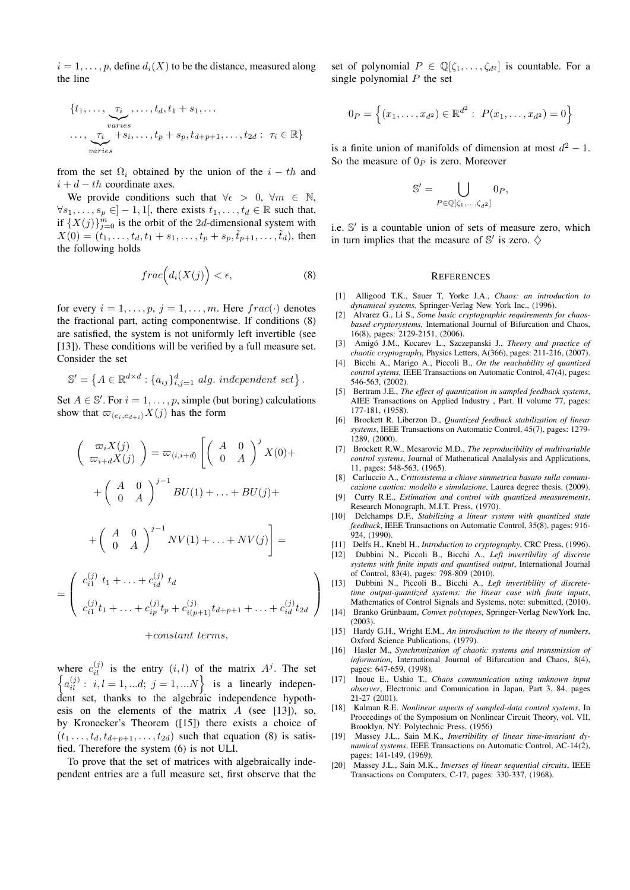$i = 1, \ldots, p$ , define  $d_i(X)$  to be the distance, measured along the line

$$
\{t_1, \ldots, \underbrace{\tau_i}_{varies}, \ldots, t_d, t_1 + s_1, \ldots
$$
  

$$
\ldots, \underbrace{\tau_i}_{varies}, \dots, t_p + s_p, t_{d+p+1}, \ldots, t_{2d} : \tau_i \in \mathbb{R}\}
$$

from the set  $\Omega_i$  obtained by the union of the  $i - th$  and  $i + d - th$  coordinate axes.

We provide conditions such that  $\forall \epsilon > 0, \forall m \in \mathbb{N}$ ,  $\forall s_1, \ldots, s_p \in ]-1,1[$ , there exists  $t_1, \ldots, t_d \in \mathbb{R}$  such that, if  $\{X(j)\}_{j=0}^m$  is the orbit of the 2d-dimensional system with  $X(0) = (t_1, \ldots, t_d, t_1 + s_1, \ldots, t_p + s_p, \tilde{t}_{p+1}, \ldots, \tilde{t}_d)$ , then the following holds

$$
frac\Big(d_i(X(j)\Big)<\epsilon,\qquad\qquad(8)
$$

for every  $i = 1, \ldots, p$ ,  $j = 1, \ldots, m$ . Here  $frac(\cdot)$  denotes the fractional part, acting componentwise. If conditions (8) are satisfied, the system is not uniformly left invertible (see [13]). These conditions will be verified by a full measure set. Consider the set

$$
\mathbb{S}' = \left\{ A \in \mathbb{R}^{d \times d} : \{a_{ij}\}_{i,j=1}^d \text{ alg. independent set} \right\}.
$$

Set  $A \in \mathbb{S}'$ . For  $i = 1, \ldots, p$ , simple (but boring) calculations show that  $\varpi_{\langle e_i,e_{d+i}\rangle}X(j)$  has the form

$$
\begin{pmatrix}\n\varpi_i X(j) \\
\varpi_{i+d} X(j)\n\end{pmatrix} = \varpi_{\langle i, i+d\rangle} \left[ \begin{pmatrix} A & 0 \\
0 & A \end{pmatrix}^j X(0) +
$$
\n
$$
+ \begin{pmatrix} A & 0 \\
0 & A \end{pmatrix}^{j-1} BU(1) + \ldots + BU(j) +
$$
\n
$$
+ \begin{pmatrix} A & 0 \\
0 & A \end{pmatrix}^{j-1} NV(1) + \ldots + NV(j) \right] =
$$
\n
$$
\begin{pmatrix}\nc_{i1}^{(j)} t_1 + \ldots + c_{id}^{(j)} t_d \\
c_{i2}^{(j)} t_2 + \ldots + c_{id}^{(j)} t_d\n\end{pmatrix} \neq 0 \quad \text{for all } |a^{(j)} t_2|
$$

$$
\left(c_{i1}^{(j)}t_1 + \ldots + c_{ip}^{(j)}t_p + c_{i(p+1)}^{(j)}t_{d+p+1} + \ldots + c_{id}^{(j)}t_{2d}\right)
$$

 $\setminus$ 

#### +constant terms,

=

where  $c_{il}^{(j)}$  is the entry  $(i, l)$  of the matrix  $A^{j}$ . The set  $\left\{a_{il}^{(j)}: i, l = 1, ...d; j = 1, ...N\right\}$  is a linearly independent set, thanks to the algebraic independence hypothesis on the elements of the matrix  $A$  (see [13]), so, by Kronecker's Theorem ([15]) there exists a choice of  $(t_1 \ldots, t_d, t_{d+p+1}, \ldots, t_{2d})$  such that equation (8) is satisfied. Therefore the system (6) is not ULI.

To prove that the set of matrices with algebraically independent entries are a full measure set, first observe that the set of polynomial  $P \in \mathbb{Q}[\zeta_1,\ldots,\zeta_{d^2}]$  is countable. For a single polynomial  $P$  the set

$$
0_P = \left\{ (x_1, \ldots, x_{d^2}) \in \mathbb{R}^{d^2} : P(x_1, \ldots, x_{d^2}) = 0 \right\}
$$

is a finite union of manifolds of dimension at most  $d^2 - 1$ . So the measure of  $0_P$  is zero. Moreover

$$
\mathbb{S}' = \bigcup_{P \in \mathbb{Q}[\zeta_1, \dots, \zeta_{d^2}]} 0_P,
$$

i.e. S' is a countable union of sets of measure zero, which in turn implies that the measure of  $\mathbb{S}'$  is zero.  $\diamondsuit$ 

### **REFERENCES**

- [1] Alligood T.K., Sauer T, Yorke J.A., *Chaos: an introduction to dynamical systems,* Springer-Verlag New York Inc., (1996).
- [2] Alvarez G., Li S., *Some basic cryptographic requirements for chaosbased cryptosystems,* International Journal of Bifurcation and Chaos, 16(8), pages: 2129-2151, (2006).
- [3] Amigo J.M., Kocarev L., Szczepanski J., ´ *Theory and practice of chaotic cryptography,* Physics Letters, A(366), pages: 211-216, (2007).
- [4] Bicchi A., Marigo A., Piccoli B., *On the reachability of quantized control sytems,* IEEE Transactions on Automatic Control, 47(4), pages: 546-563, (2002).
- [5] Bertram J.E., *The effect of quantization in sampled feedback systems*, AIEE Transactions on Applied Industry , Part. II volume 77, pages: 177-181, (1958).
- [6] Brockett R. Liberzon D., *Quantized feedback stabilization of linear systems*, IEEE Transactions on Automatic Control, 45(7), pages: 1279- 1289, (2000).
- [7] Brockett R.W., Mesarovic M.D., *The reproducibility of multivariable control systems*, Journal of Mathenatical Analalysis and Applications, 11, pages: 548-563, (1965).
- [8] Carluccio A., *Crittosistema a chiave simmetrica basato sulla comunicazione caotica: modello e simulazione*, Laurea degree thesis, (2009).
- [9] Curry R.E., *Estimation and control with quantized measurements*, Research Monograph, M.I.T. Press, (1970).
- [10] Delchamps D.F., *Stabilizing a linear system with quantized state feedback*, IEEE Transactions on Automatic Control, 35(8), pages: 916- 924, (1990).
- [11] Delfs H., Knebl H., *Introduction to cryptography*, CRC Press, (1996).
- [12] Dubbini N., Piccoli B., Bicchi A., *Left invertibility of discrete systems with finite inputs and quantised output*, International Journal of Control, 83(4), pages: 798-809 (2010).
- [13] Dubbini N., Piccoli B., Bicchi A., *Left invertibility of discretetime output-quantized systems: the linear case with finite inputs*, Mathematics of Control Signals and Systems, note: submitted, (2010).
- [14] Branko Grünbaum, Convex polytopes, Springer-Verlag NewYork Inc, (2003).
- [15] Hardy G.H., Wright E.M., *An introduction to the theory of numbers*, Oxford Science Publications, (1979).
- [16] Hasler M., *Synchronization of chaotic systems and transmission of information*, International Journal of Bifurcation and Chaos, 8(4), pages: 647-659, (1998).
- [17] Inoue E., Ushio T., *Chaos communication using unknown input observer*, Electronic and Comunication in Japan, Part 3, 84, pages 21-27 (2001).
- [18] Kalman R.E. *Nonlinear aspects of sampled-data control systems*, In Proceedings of the Symposium on Nonlinear Circuit Theory, vol. VII, Brooklyn, NY: Polytechnic Press, (1956)
- [19] Massey J.L., Sain M.K., *Invertibility of linear time-invariant dynamical systems*, IEEE Transactions on Automatic Control, AC-14(2), pages: 141-149, (1969).
- [20] Massey J.L., Sain M.K., *Inverses of linear sequential circuits*, IEEE Transactions on Computers, C-17, pages: 330-337, (1968).